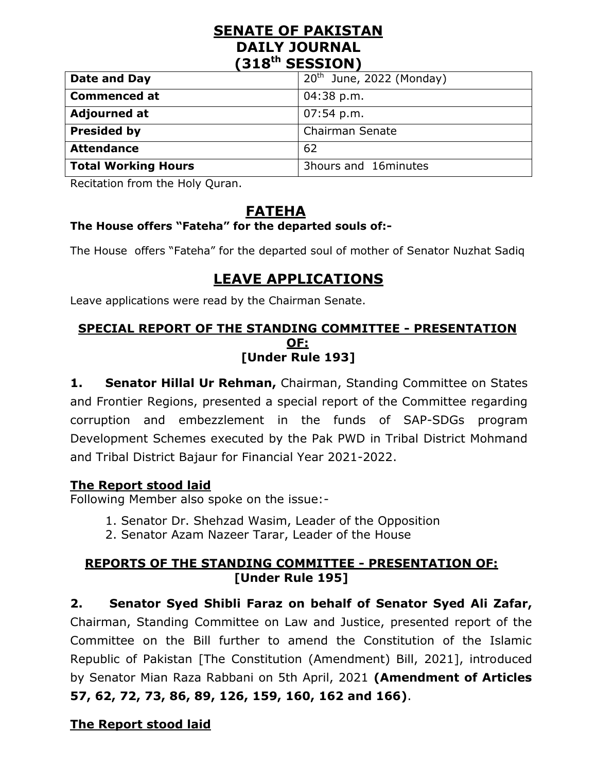### **SENATE OF PAKISTAN DAILY JOURNAL (318th SESSION)**

| Date and Day        | $20th$ June, 2022 (Monday) |
|---------------------|----------------------------|
| <b>Commenced at</b> | $04:38$ p.m.               |
| <b>Adjourned at</b> | $07:54$ p.m.               |
| <b>Presided by</b>  | <b>Chairman Senate</b>     |
| <b>Attendance</b>   | 62                         |
| Total Working Hours | 3hours and 16minutes       |

Recitation from the Holy Quran.

## **FATEHA**

## **The House offers "Fateha" for the departed souls of:-**

The House offers "Fateha" for the departed soul of mother of Senator [Nuzhat Sadiq](https://senate.gov.pk/en/profile.php?uid=926&catid=261&subcatid=2&cattitle=Members%20Senate)

# **LEAVE APPLICATIONS**

Leave applications were read by the Chairman Senate.

#### **SPECIAL REPORT OF THE STANDING COMMITTEE - PRESENTATION OF: [Under Rule 193]**

**1. Senator Hillal Ur Rehman,** Chairman, Standing Committee on States and Frontier Regions, presented a special report of the Committee regarding corruption and embezzlement in the funds of SAP-SDGs program Development Schemes executed by the Pak PWD in Tribal District Mohmand and Tribal District Bajaur for Financial Year 2021-2022.

#### **The Report stood laid**

Following Member also spoke on the issue:-

- 1. Senator Dr. Shehzad Wasim, Leader of the Opposition
- 2. Senator Azam Nazeer Tarar, Leader of the House

### **REPORTS OF THE STANDING COMMITTEE - PRESENTATION OF: [Under Rule 195]**

**2. Senator Syed Shibli Faraz on behalf of Senator Syed Ali Zafar,** Chairman, Standing Committee on Law and Justice, presented report of the Committee on the Bill further to amend the Constitution of the Islamic Republic of Pakistan [The Constitution (Amendment) Bill, 2021], introduced by Senator Mian Raza Rabbani on 5th April, 2021 **(Amendment of Articles 57, 62, 72, 73, 86, 89, 126, 159, 160, 162 and 166)**.

### **The Report stood laid**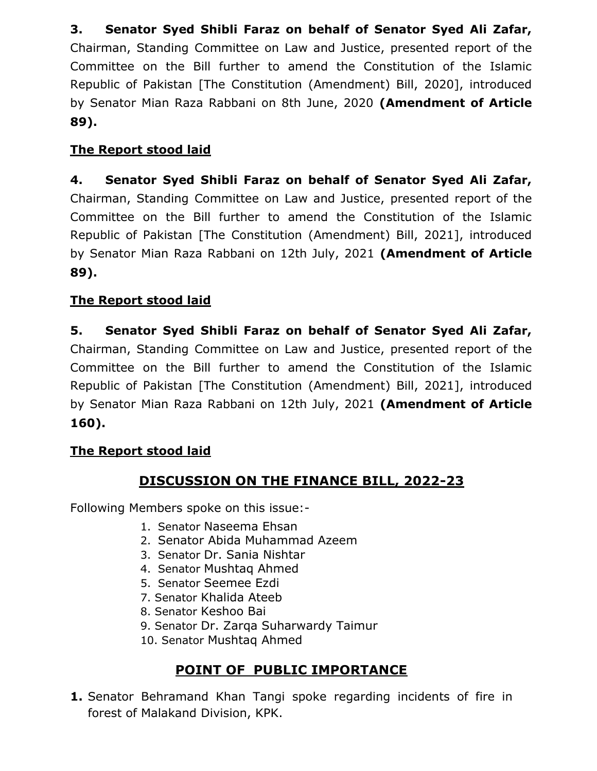**3. Senator Syed Shibli Faraz on behalf of Senator Syed Ali Zafar,**  Chairman, Standing Committee on Law and Justice, presented report of the Committee on the Bill further to amend the Constitution of the Islamic Republic of Pakistan [The Constitution (Amendment) Bill, 2020], introduced by Senator Mian Raza Rabbani on 8th June, 2020 **(Amendment of Article 89).**

## **The Report stood laid**

**4. Senator Syed Shibli Faraz on behalf of Senator Syed Ali Zafar,**  Chairman, Standing Committee on Law and Justice, presented report of the Committee on the Bill further to amend the Constitution of the Islamic Republic of Pakistan [The Constitution (Amendment) Bill, 2021], introduced by Senator Mian Raza Rabbani on 12th July, 2021 **(Amendment of Article 89).**

## **The Report stood laid**

**5. Senator Syed Shibli Faraz on behalf of Senator Syed Ali Zafar,**  Chairman, Standing Committee on Law and Justice, presented report of the Committee on the Bill further to amend the Constitution of the Islamic Republic of Pakistan [The Constitution (Amendment) Bill, 2021], introduced by Senator Mian Raza Rabbani on 12th July, 2021 **(Amendment of Article 160).**

### **The Report stood laid**

## **DISCUSSION ON THE FINANCE BILL, 2022-23**

Following Members spoke on this issue:-

- 1. Senator Naseema Ehsan
- 2. Senator Abida Muhammad Azeem
- 3. Senator Dr. Sania Nishtar
- 4. Senator Mushtaq Ahmed
- 5. Senator Seemee Ezdi
- 7. Senator Khalida Ateeb
- 8. Senator Keshoo Bai
- 9. Senator Dr. Zarqa Suharwardy Taimur
- 10. Senator Mushtaq Ahmed

# **POINT OF PUBLIC IMPORTANCE**

**1.** Senator Behramand Khan Tangi spoke regarding incidents of fire in forest of Malakand Division, KPK.